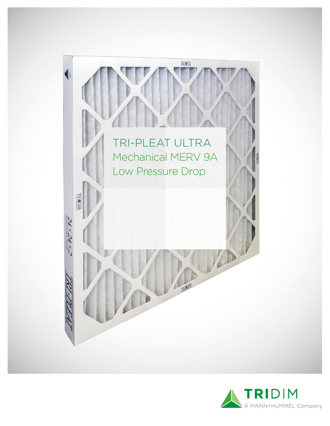

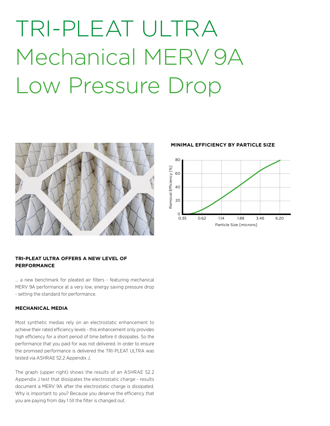# TRI-PLEAT ULTRA Mechanical MERV 9A Low Pressure Drop



## **TRI-PLEAT ULTRA OFFERS A NEW LEVEL OF PERFORMANCE**

... a new benchmark for pleated air filters - featuring mechanical MERV 9A performance at a very low, energy saving pressure drop - setting the standard for performance.

### **MECHANICAL MEDIA**

Most synthetic medias rely on an electrostatic enhancement to achieve their rated efficiency levels - this enhancement only provides high efficiency for a short period of time before it dissipates. So the performance that you paid for was not delivered. In order to ensure the promised performance is delivered the TRI-PLEAT ULTRA was tested via ASHRAE 52.2 Appendix J.

The graph (upper right) shows the results of an ASHRAE 52.2 Appendix J test that dissipates the electrostatic charge - results document a MERV 9A after the electrostatic charge is dissipated. Why is important to you? Because you deserve the efficiency that you are paying from day 1 till the filter is changed out.

#### **MINIMAL EFFICIENCY BY PARTICLE SIZE**

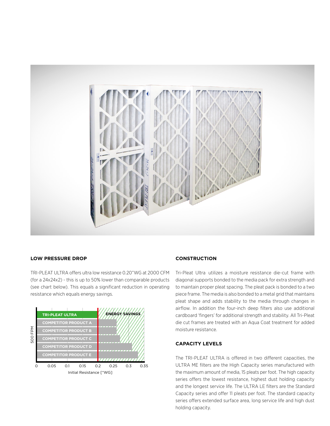

#### **LOW PRESSURE DROP**

TRI-PLEAT ULTRA offers ultra low resistance 0.20"WG at 2000 CFM (for a 24x24x2) - this is up to 50% lower than comparable products (see chart below). This equals a significant reduction in operating resistance which equals energy savings.



#### **CONSTRUCTION**

Tri-Pleat Ultra utilizes a moisture resistance die-cut frame with diagonal supports bonded to the media pack for extra strength and to maintain proper pleat spacing. The pleat pack is bonded to a two piece frame. The media is also bonded to a metal grid that maintains pleat shape and adds stability to the media through changes in airflow. In addition the four-inch deep filters also use additional cardboard 'fingers' for additional strength and stability. All Tri-Pleat die cut frames are treated with an Aqua Coat treatment for added moisture resistance.

### **CAPACITY LEVELS**

The TRI-PLEAT ULTRA is offered in two different capacities, the ULTRA ME filters are the High Capacity series manufactured with the maximum amount of media, 15 pleats per foot. The high capacity series offers the lowest resistance, highest dust holding capacity and the longest service life. The ULTRA LE filters are the Standard Capacity series and offer 11 pleats per foot. The standard capacity series offers extended surface area, long service life and high dust holding capacity.